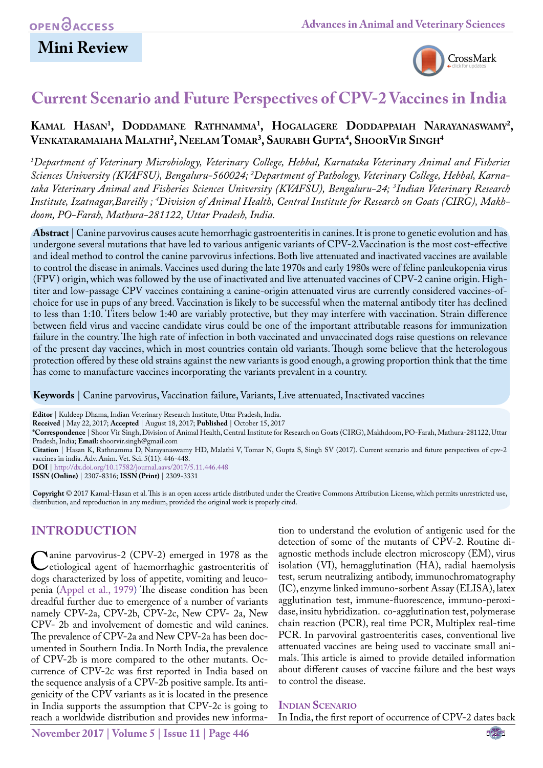## **Mini Review**



## **Current Scenario and Future Perspectives of CPV-2 Vaccines in India**

## **Kamal Hasan1 , Doddamane Rathnamma1 , Hogalagere Doddappaiah Narayanaswamy2 , Venkataramaiaha Malathi2 , Neelam Tomar3 , Saurabh Gupta4 , ShoorVir Singh4**

*1 Department of Veterinary Microbiology, Veterinary College, Hebbal, Karnataka Veterinary Animal and Fisheries Sciences University (KVAFSU), Bengaluru-560024; 2 Department of Pathology, Veterinary College, Hebbal, Karnataka Veterinary Animal and Fisheries Sciences University (KVAFSU), Bengaluru-24; 3 Indian Veterinary Research Institute, Izatnagar,Bareilly ; 4 Division of Animal Health, Central Institute for Research on Goats (CIRG), Makhdoom, PO-Farah, Mathura-281122, Uttar Pradesh, India.*

**Abstract** | Canine parvovirus causes acute hemorrhagic gastroenteritis in canines. It is prone to genetic evolution and has undergone several mutations that have led to various antigenic variants of CPV-2.Vaccination is the most cost-effective and ideal method to control the canine parvovirus infections. Both live attenuated and inactivated vaccines are available to control the disease in animals. Vaccines used during the late 1970s and early 1980s were of feline panleukopenia virus (FPV) origin, which was followed by the use of inactivated and live attenuated vaccines of CPV-2 canine origin. Hightiter and low-passage CPV vaccines containing a canine-origin attenuated virus are currently considered vaccines-ofchoice for use in pups of any breed. Vaccination is likely to be successful when the maternal antibody titer has declined to less than 1:10. Titers below 1:40 are variably protective, but they may interfere with vaccination. Strain difference between field virus and vaccine candidate virus could be one of the important attributable reasons for immunization failure in the country. The high rate of infection in both vaccinated and unvaccinated dogs raise questions on relevance of the present day vaccines, which in most countries contain old variants. Though some believe that the heterologous protection offered by these old strains against the new variants is good enough, a growing proportion think that the time has come to manufacture vaccines incorporating the variants prevalent in a country.

**Keywords** | Canine parvovirus, Vaccination failure, Variants, Live attenuated, Inactivated vaccines

**Editor** | Kuldeep Dhama, Indian Veterinary Research Institute, Uttar Pradesh, India.

**Received** | May 22, 2017; **Accepted** | August 18, 2017; **Published** | October 15, 2017

**\*Correspondence** | Shoor Vir Singh, Division of Animal Health, Central Institute for Research on Goats (CIRG), Makhdoom, PO-Farah, Mathura-281122, Uttar Pradesh, India; **Email:** shoorvir.singh@gmail.com

**Citation** | Hasan K, Rathnamma D, Narayanaswamy HD, Malathi V, Tomar N, Gupta S, Singh SV (2017). Current scenario and future perspectives of cpv-2 vaccines in india. Adv. Anim. Vet. Sci. 5(11): 446-448.

**DOI** | <http://dx.doi.org/10.17582/journal.aavs/2017/5.11.446.448>

**ISSN (Online)** | 2307-8316; **ISSN (Print)** | 2309-3331

**Copyright** © 2017 Kamal-Hasan et al. This is an open access article distributed under the Creative Commons Attribution License, which permits unrestricted use, distribution, and reproduction in any medium, provided the original work is properly cited.

### **INTRODUCTION**

Canine parvovirus-2 (CPV-2) emerged in 1978 as the etiological agent of haemorrhaghic gastroenteritis of dogs characterized by loss of appetite, vomiting and leucodogs characterized by loss of appetite, vomiting and leucopenia [\(Appel et al., 1979\)](#page-2-0) The disease condition has been dreadful further due to emergence of a number of variants namely CPV-2a, CPV-2b, CPV-2c, New CPV- 2a, New CPV- 2b and involvement of domestic and wild canines. The prevalence of CPV-2a and New CPV-2a has been documented in Southern India. In North India, the prevalence of CPV-2b is more compared to the other mutants. Occurrence of CPV-2c was first reported in India based on the sequence analysis of a CPV-2b positive sample. Its antigenicity of the CPV variants as it is located in the presence in India supports the assumption that CPV-2c is going to reach a worldwide distribution and provides new information to understand the evolution of antigenic used for the detection of some of the mutants of CPV-2. Routine diagnostic methods include electron microscopy (EM), virus isolation (VI), hemagglutination (HA), radial haemolysis test, serum neutralizing antibody, immunochromatography (IC), enzyme linked immuno-sorbent Assay (ELISA), latex agglutination test, immune-fluorescence, immuno-peroxidase, insitu hybridization. co-agglutination test, polymerase chain reaction (PCR), real time PCR, Multiplex real-time PCR. In parvoviral gastroenteritis cases, conventional live attenuated vaccines are being used to vaccinate small animals. This article is aimed to provide detailed information about different causes of vaccine failure and the best ways to control the disease.

**Indian Scenario**

In India, the first report of occurrence of CPV-2 dates back

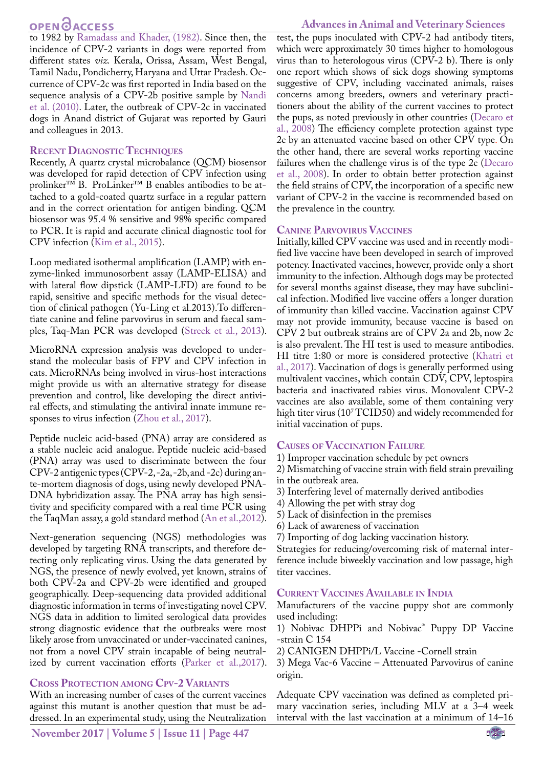# **OPEN**<sub>d</sub><sub>ACCESS</sub>

to 1982 by [Ramadass and Khader, \(1982\).](#page-2-1) Since then, the incidence of CPV-2 variants in dogs were reported from different states *viz.* Kerala, Orissa, Assam, West Bengal, Tamil Nadu, Pondicherry, Haryana and Uttar Pradesh. Occurrence of CPV-2c was first reported in India based on the sequence analysis of a CPV-2b positive sample by [Nandi](#page-2-2) [et al. \(2010\).](#page-2-2) Later, the outbreak of CPV-2c in vaccinated dogs in Anand district of Gujarat was reported by Gauri and colleagues in 2013.

### **Recent Diagnostic Techniques**

Recently, A quartz crystal microbalance (QCM) biosensor was developed for rapid detection of CPV infection using prolinker™ B. ProLinker™ B enables antibodies to be attached to a gold-coated quartz surface in a regular pattern and in the correct orientation for antigen binding. QCM biosensor was 95.4 % sensitive and 98% specific compared to PCR. It is rapid and accurate clinical diagnostic tool for CPV infection ([Kim et al., 2015](#page-2-3)).

Loop mediated isothermal amplification (LAMP) with enzyme-linked immunosorbent assay (LAMP-ELISA) and with lateral flow dipstick (LAMP-LFD) are found to be rapid, sensitive and specific methods for the visual detection of clinical pathogen (Yu-Ling et al.2013).To differentiate canine and feline parvovirus in serum and faecal samples, Taq-Man PCR was developed ([Streck et al., 2013](#page-2-4)).

MicroRNA expression analysis was developed to understand the molecular basis of FPV and CPV infection in cats. MicroRNAs being involved in virus-host interactions might provide us with an alternative strategy for disease prevention and control, like developing the direct antiviral effects, and stimulating the antiviral innate immune responses to virus infection ([Zhou et al., 2017](#page-2-5)).

Peptide nucleic acid-based (PNA) array are considered as a stable nucleic acid analogue. Peptide nucleic acid-based (PNA) array was used to discriminate between the four CPV-2 antigenic types (CPV-2, -2a, -2b, and -2c) during ante-mortem diagnosis of dogs, using newly developed PNA-DNA hybridization assay. The PNA array has high sensitivity and specificity compared with a real time PCR using the TaqMan assay, a gold standard method [\(An et al.,2012](#page-2-6)).

Next-generation sequencing (NGS) methodologies was developed by targeting RNA transcripts, and therefore detecting only replicating virus. Using the data generated by NGS, the presence of newly evolved, yet known, strains of both CPV-2a and CPV-2b were identified and grouped geographically. Deep-sequencing data provided additional diagnostic information in terms of investigating novel CPV. NGS data in addition to limited serological data provides strong diagnostic evidence that the outbreaks were most likely arose from unvaccinated or under-vaccinated canines, not from a novel CPV strain incapable of being neutralized by current vaccination efforts ([Parker et al.,2017](#page-2-7)).

### **Cross Protection among Cpv-2 Variants**

With an increasing number of cases of the current vaccines against this mutant is another question that must be addressed. In an experimental study, using the Neutralization

test, the pups inoculated with CPV-2 had antibody titers, which were approximately 30 times higher to homologous virus than to heterologous virus (CPV-2 b). There is only one report which shows of sick dogs showing symptoms suggestive of CPV, including vaccinated animals, raises concerns among breeders, owners and veterinary practitioners about the ability of the current vaccines to protect the pups, as noted previously in other countries ([Decaro et](#page-2-8)  [al., 2008\)](#page-2-8) The efficiency complete protection against type 2c by an attenuated vaccine based on other CPV type. On the other hand, there are several works reporting vaccine failures when the challenge virus is of the type 2c ([Decaro](#page-2-8)  [et al., 2008\)](#page-2-8). In order to obtain better protection against the field strains of CPV, the incorporation of a specific new variant of CPV-2 in the vaccine is recommended based on the prevalence in the country.

### **Canine Parvovirus Vaccines**

Initially, killed CPV vaccine was used and in recently modified live vaccine have been developed in search of improved potency. Inactivated vaccines, however, provide only a short immunity to the infection. Although dogs may be protected for several months against disease, they may have subclinical infection. Modified live vaccine offers a longer duration of immunity than killed vaccine. Vaccination against CPV may not provide immunity, because vaccine is based on CPV 2 but outbreak strains are of CPV 2a and 2b, now 2c is also prevalent. The HI test is used to measure antibodies. HI titre 1:80 or more is considered protective ([Khatri et](#page-2-9)  [al., 2017](#page-2-9)). Vaccination of dogs is generally performed using multivalent vaccines, which contain CDV, CPV, leptospira bacteria and inactivated rabies virus. Monovalent CPV-2 vaccines are also available, some of them containing very high titer virus ( $10^7$ TCID50) and widely recommended for initial vaccination of pups.

### **Causes of Vaccination Failure**

1) Improper vaccination schedule by pet owners

2) Mismatching of vaccine strain with field strain prevailing in the outbreak area.

3) Interfering level of maternally derived antibodies

4) Allowing the pet with stray dog

- 5) Lack of disinfection in the premises
- 6) Lack of awareness of vaccination
- 7) Importing of dog lacking vaccination history.

Strategies for reducing/overcoming risk of maternal interference include biweekly vaccination and low passage, high titer vaccines.

### **Current Vaccines Available in India**

Manufacturers of the vaccine puppy shot are commonly used including:

1) Nobivac DHPPi and Nobivac® Puppy DP Vaccine -strain C 154

2) CANIGEN DHPPi/L Vaccine -Cornell strain

3) Mega Vac-6 Vaccine – Attenuated Parvovirus of canine origin.

Adequate CPV vaccination was defined as completed primary vaccination series, including MLV at a 3–4 week interval with the last vaccination at a minimum of 14–16